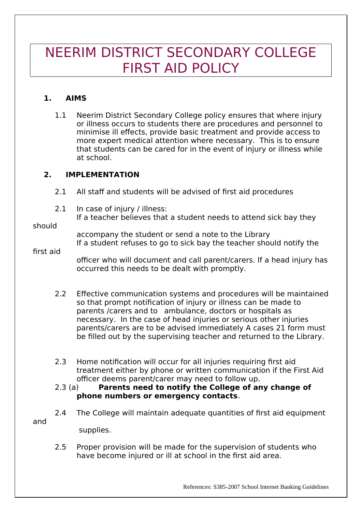# NEERIM DISTRICT SECONDARY COLLEGE FIRST AID POLICY

## **1. AIMS**

1.1 Neerim District Secondary College policy ensures that where injury or illness occurs to students there are procedures and personnel to minimise ill effects, provide basic treatment and provide access to more expert medical attention where necessary. This is to ensure that students can be cared for in the event of injury or illness while at school.

## **2. IMPLEMENTATION**

- 2.1 All staff and students will be advised of first aid procedures
- 2.1 In case of injury / illness:
	- If a teacher believes that a student needs to attend sick bay they

#### should

accompany the student or send a note to the Library If a student refuses to go to sick bay the teacher should notify the

## first aid

officer who will document and call parent/carers. If a head injury has occurred this needs to be dealt with promptly.

- 2.2 Effective communication systems and procedures will be maintained so that prompt notification of injury or illness can be made to parents /carers and to ambulance, doctors or hospitals as necessary. In the case of head injuries or serious other injuries parents/carers are to be advised immediately A cases 21 form must be filled out by the supervising teacher and returned to the Library.
- 2.3 Home notification will occur for all injuries requiring first aid treatment either by phone or written communication if the First Aid

#### officer deems parent/carer may need to follow up.<br>2.3 (a) **Parents need to notify the College of ar** Parents need to notify the College of any change of **phone numbers or emergency contacts**.

2.4 The College will maintain adequate quantities of first aid equipment and

supplies.

2.5 Proper provision will be made for the supervision of students who have become injured or ill at school in the first aid area.